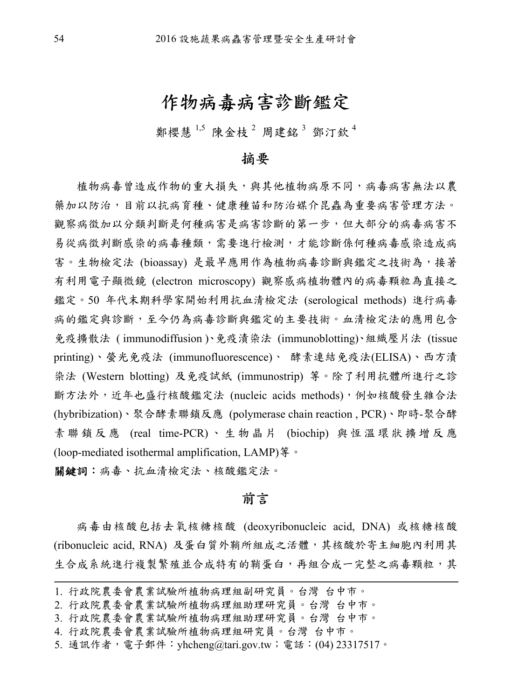## 作物病毒病害診斷鑑定

鄭櫻慧<sup>1,5</sup>陳金枝<sup>2</sup> 周建銘<sup>3</sup>鄧汀欽<sup>4</sup>

#### 摘要

植物病毒曾造成作物的重大損失,與其他植物病原不同,病毒病害無法以農 藥加以防治,目前以抗病育種、健康種苗和防治媒介昆蟲為重要病害管理方法。 觀察病徵加以分類判斷是何種病害是病害診斷的第一步,但大部分的病毒病害不 易從病徵判斷感染的病毒種類,需要進行檢測,才能診斷係何種病毒感染造成病 害。生物檢定法 (bioassay) 是最早應用作為植物病毒診斷與鑑定之技術為,接著 有利用電子顯微鏡 (electron microscopy) 觀察感病植物體內的病毒顆粒為直接之 鑑定。50 年代末期科學家開始利用抗血清檢定法 (serological methods) 進行病毒 病的鑑定與診斷,至今仍為病毒診斷與鑑定的主要技術。血清檢定法的應用包含 免疫擴散法 ( immunodiffusion )、免疫漬染法 (immunoblotting)、組織壓片法 (tissue printing)、螢光免疫法 (immunofluorescence)、 酵素連結免疫法(ELISA)、西方漬 染法 (Western blotting) 及免疫試紙 (immunostrip) 等。除了利用抗體所進行之診 斷方法外,近年也盛行核酸鑑定法 (nucleic acids methods), 例如核酸發生雜合法 (hybribization)、聚合酵素聯鎖反應 (polymerase chain reaction , PCR)、即時-聚合酵 素聯鎖反應 (real time-PCR) 、生物晶片 (biochip) 與恆溫環狀擴增反應 (loop-mediated isothermal amplification, LAMP)  $\frac{2}{3}$  。

關鍵詞:病毒、抗血清檢定法、核酸鑑定法。

#### 前言

病毒由核酸包括去氧核糖核酸 (deoxyribonucleic acid, DNA) 或核糖核酸 (ribonucleic acid, RNA) 及蛋白質外鞘所組成之活體,其核酸於寄主細胞內利用其 生合成系統進行複製繁殖並合成特有的鞘蛋白,再組合成一完整之病毒顆粒,其

<sup>1.</sup> 行政院農委會農業試驗所植物病理組副研究員。台灣 台中市。

<sup>2.</sup> 行政院農委會農業試驗所植物病理組助理研究員。台灣 台中市。

<sup>3.</sup> 行政院農委會農業試驗所植物病理組助理研究員。台灣 台中市。

<sup>4.</sup> 行政院農委會農業試驗所植物病理組研究員。台灣 台中市。

<sup>5.</sup> 通訊作者,電子郵件:yhcheng@tari.gov.tw;電話:(04) 23317517。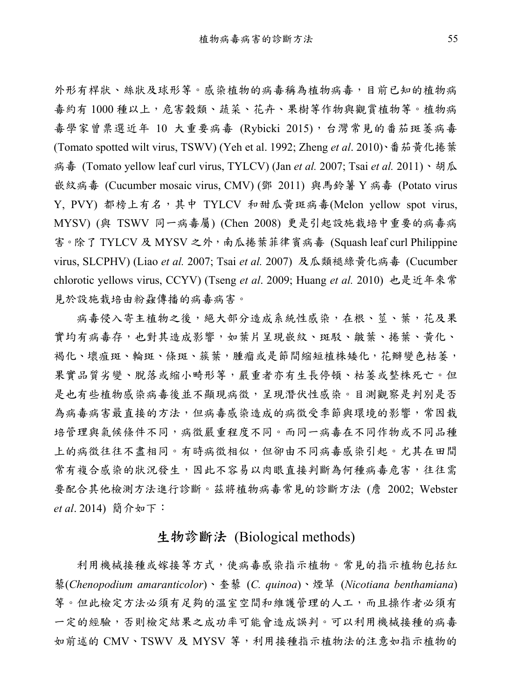外形有桿狀、絲狀及球形等。感染植物的病毒稱為植物病毒,目前已知的植物病 毒約有 1000 種以上,危害穀類、蔬菜、花卉、果樹等作物與觀賞植物等。植物病 毒學家曾票選近年 10 大重要病毒 (Rybicki 2015), 台灣常見的番茄斑萎病毒 (Tomato spotted wilt virus, TSWV) (Yeh et al. 1992; Zheng *et al*. 2010)、番茄黃化捲葉 病毒 (Tomato yellow leaf curl virus, TYLCV) (Jan *et al.* 2007; Tsai *et al.* 2011)、胡瓜 嵌紋病毒 (Cucumber mosaic virus, CMV) (鄧 2011) 與馬鈴薯 Y 病毒 (Potato virus Y, PVY) 都榜上有名, 其中 TYLCV 和甜瓜黄斑病毒(Melon yellow spot virus, MYSV) (與 TSWV 同一病毒屬) (Chen 2008) 更是引起設施栽培中重要的病毒病 害。除了 TYLCV 及 MYSV 之外,南瓜捲葉菲律賓病毒 (Squash leaf curl Philippine virus, SLCPHV) (Liao *et al.* 2007; Tsai *et al.* 2007) 及瓜類褪綠黃化病毒 (Cucumber chlorotic yellows virus, CCYV) (Tseng *et al*. 2009; Huang *et al.* 2010) 也是近年來常 見於設施栽培由粉蝨傳播的病毒病害。

病毒侵入寄主植物之後,絕大部分造成系統性感染,在根、莖、葉,花及果 實均有病毒存,也對其造成影響,如葉片呈現嵌紋、斑駁、皺葉、捲葉、黃化、 褐化、壞疽斑、輪斑、條斑、簇葉,腫瘤或是節間縮短植株矮化,花瓣變色枯萎, 果實品質劣變、脫落或縮小畸形等,嚴重者亦有生長停頓、枯萎或整株死亡。但 是也有些植物感染病毒後並不顯現病徵,呈現潛伏性感染。目測觀察是判別是否 為病毒病害最直接的方法,但病毒感染造成的病徵受季節與環境的影響,常因栽 培管理與氣候條件不同,病徵嚴重程度不同。而同一病毒在不同作物或不同品種 上的病徵往往不盡相同。有時病徵相似,但卻由不同病毒感染引起。尤其在田間 常有複合感染的狀況發生,因此不容易以肉眼直接判斷為何種病毒危害,往往需 要配合其他檢測方法進行診斷。茲將植物病毒常見的診斷方法 (詹 2002; Webster *et al*. 2014) 簡介如下:

#### 生物診斷法 (Biological methods)

利用機械接種或嫁接等方式,使病毒感染指示植物。常見的指示植物包括紅 藜(*Chenopodium amaranticolor*)、奎藜 (*C. quinoa*)、煙草 (*Nicotiana benthamiana*) 等。但此檢定方法必須有足夠的溫室空間和維護管理的人工,而且操作者必須有 一定的經驗,否則檢定結果之成功率可能會造成誤判。可以利用機械接種的病毒 如前述的 CMV、TSWV 及 MYSV 等,利用接種指示植物法的注意如指示植物的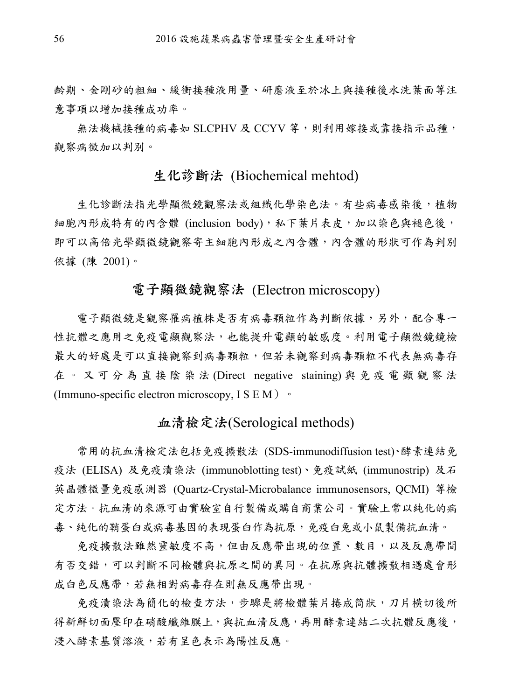齡期、金剛砂的粗細、緩衝接種液用量、研磨液至於冰上與接種後水洗葉面等注 意事項以增加接種成功率。

無法機械接種的病毒如 SLCPHV 及 CCYV 等,則利用嫁接或靠接指示品種, 觀察病徵加以判別。

#### 生化診斷法 (Biochemical mehtod)

生化診斷法指光學顯微鏡觀察法或組織化學染色法。有些病毒感染後,植物 細胞內形成特有的內含體 (inclusion body), 私下葉片表皮, 加以染色與褪色後, 即可以高倍光學顯微鏡觀察寄主細胞內形成之內含體,內含體的形狀可作為判別 依據 (陳 2001)。

#### 電子顯微鏡觀察法 (Electron microscopy)

電子顯微鏡是觀察罹病植株是否有病毒顆粒作為判斷依據,另外,配合專一 性抗體之應用之免疫電顯觀察法,也能提升電顯的敏感度。利用電子顯微鏡鏡檢 最大的好處是可以直接觀察到病毒顆粒,但若未觀察到病毒顆粒不代表無病毒存 在。又可分為直接陰染法 (Direct negative staining) 與免疫電顯觀察法 (Immuno-specific electron microscopy,  $I S E M$ )  $\cdot$ 

## 血清檢定法(Serological methods)

常用的抗血清檢定法包括免疫擴散法 (SDS-immunodiffusion test)、酵素連結免 疫法 (ELISA) 及免疫漬染法 (immunoblotting test)、免疫試紙 (immunostrip) 及石 英晶體微量免疫感測器 (Quartz-Crystal-Microbalance immunosensors, QCMI) 等檢 定方法。抗血清的來源可由實驗室自行製備或購自商業公司。實驗上常以純化的病 毒、純化的鞘蛋白或病毒基因的表現蛋白作為抗原,免疫白兔或小鼠製備抗血清。

免疫擴散法雖然靈敏度不高,但由反應帶出現的位置、數目,以及反應帶間 有否交錯,可以判斷不同檢體與抗原之間的異同。在抗原與抗體擴散相遇處會形 成白色反應帶,若無相對病毒存在則無反應帶出現。

免疫清染法為簡化的檢查方法,步驟是將檢體葉片捲成筒狀,刀片橫切後所 得新鮮切面壓印在硝酸纖維膜上,與抗血清反應,再用酵素連結二次抗體反應後, 浸入酵素基質溶液,若有呈色表示為陽性反應。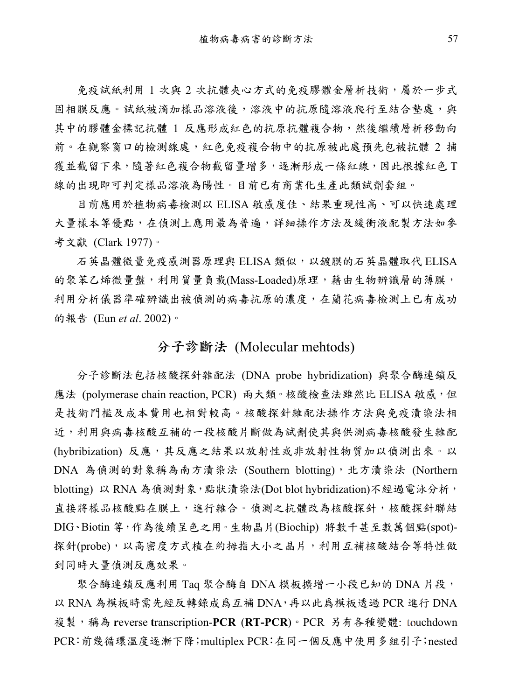免疫試紙利用 1 次與 2 次抗體夾心方式的免疫膠體金層析技術,屬於一步式 固相膜反應。試紙被滴加樣品溶液後,溶液中的抗原隨溶液爬行至結合墊處,與 其中的膠體金標記抗體 1 反應形成紅色的抗原抗體複合物,然後繼續層析移動向 前。在觀察窗口的檢測線處,紅色免疫複合物中的抗原被此處預先包被抗體 2 捕 獲並截留下來,隨著紅色複合物截留量增多,逐漸形成一條紅線,因此根據紅色T 線的出現即可判定樣品溶液為陽性。目前已有商業化生產此類試劑套組。

目前應用於植物病毒檢測以 ELISA 敏感度佳、結果重現性高、可以快速處理 大量樣本等優點,在偵測上應用最為普遍,詳細操作方法及緩衝液配製方法如參 考文獻 (Clark 1977)。

石英晶體微量免疫感測器原理與 ELISA 類似,以鍍膜的石英晶體取代 ELISA 的聚苯乙烯微量盤,利用質量負載(Mass-Loaded)原理,藉由生物辨識層的薄膜, 利用分析儀器準確辨識出被偵測的病毒抗原的濃度,在蘭花病毒檢測上已有成功 的報告 (Eun *et al*. 2002)。

### 分子診斷法 (Molecular mehtods)

分子診斷法包括核酸探針雜配法 (DNA probe hybridization) 與聚合酶連鎖反 應法 (polymerase chain reaction, PCR) 兩大類。核酸檢查法雖然比 ELISA 敏感,但 是技術門檻及成本費用也相對較高。核酸探針雜配法操作方法與免疫漬染法相 近,利用與病毒核酸互補的一段核酸片斷做為試劑使其與供測病毒核酸發生雜配 (hybribization) 反應, 其反應之結果以放射性或非放射性物質加以偵測出來。以 DNA 為偵測的對象稱為南方漬染法 (Southern blotting),北方漬染法 (Northern blotting) 以 RNA 為偵測對象,點狀漬染法(Dot blot hybridization)不經過電泳分析, 直接將樣品核酸點在膜上,進行雜合。偵測之抗體改為核酸探針,核酸探針聯結 DIG、Biotin 等,作為後續呈色之用。生物晶片(Biochip) 將數千甚至數萬個點(spot)- 探針(probe),以高密度方式植在約拇指大小之晶片,利用互補核酸結合等特性做 到同時大量偵測反應效果。

聚合酶連鎖反應利用 Taq 聚合酶自 DNA 模板擴增一小段已知的 DNA 片段, 以 RNA 為模板時需先經反轉錄成爲互補 DNA,再以此爲模板透過 PCR 進行 DNA 複製,稱為 **r**everse **t**ranscription-**PCR** (**RT-PCR**)。PCR 另有各種變體: touchdown PCR:前幾循環溫度逐漸下降;multiplex PCR:在同一個反應中使用多組引子;nested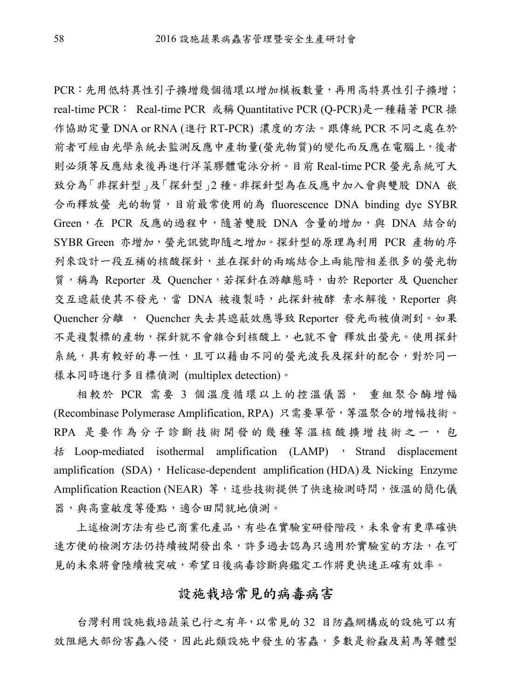PCR:先用低特異性引子擴增幾個循環以增加模板數量,再用高特異性引子擴增; real-time PCR: Real-time PCR 或稱 Quantitative PCR (Q-PCR)是一種藉著 PCR 操 作協助定量 DNA or RNA (進行 RT-PCR) 濃度的方法。跟傳統 PCR 不同之處在於 前者可經由光學系統去監測反應中產物量(螢光物質)的變化而反應在電腦上,後者 則必須等反應結束後再進行洋菜膠體電泳分析。目前 Real-time PCR 螢光系統可大 致分為「非探針型」及「探針型」2 種。非探針型為在反應中加入會與雙股 DNA 嵌 合而釋放螢 光的物質,目前最常使用的為 fluorescence DNA binding dye SYBR Green, 在 PCR 反應的過程中,隨著雙股 DNA 含量的增加,與 DNA 結合的 SYBR Green 亦增加, 螢光訊號即隨之增加。探針型的原理為利用 PCR 產物的序 列來設計一段互補的核酸探針,並在探針的兩端結合上兩能階相差很多的螢光物 質,稱為 Reporter 及 Quencher,若探針在游離態時,由於 Reporter 及 Quencher 交互遮蔽使其不發光,當 DNA 被複製時,此探針被酵 素水解後,Reporter 與 Quencher 分離 , Quencher 失去其遮蔽效應導致 Reporter 發光而被偵測到。如果 不是複製標的產物,探針就不會雜合到核酸上,也就不會 釋放出螢光。使用探針 系統,具有較好的專一性,且可以藉由不同的螢光波長及探針的配合,對於同一 樣本同時進行多目標偵測 (multiplex detection)。

相較於 PCR 需要 3 個溫度循環以上的控溫儀器, 重組聚合酶增幅 (Recombinase Polymerase Amplification, RPA) 只需要單管,等溫聚合的增幅技術。 RPA 是要作為分子診斷技術開發的幾種等溫核酸擴增技術之一,包 括 Loop-mediated isothermal amplification (LAMP) , Strand displacement amplification (SDA), Helicase-dependent amplification (HDA)  $\&$  Nicking Enzyme Amplification Reaction (NEAR) 等,這些技術提供了快速檢測時間,恆溫的簡化儀 器,與高靈敏度等優點,適合田間就地偵測。

上述檢測方法有些已商業化產品,有些在實驗室研發階段,未來會有更準確快 速方便的檢測方法仍持續被開發出來,許多過去認為只適用於實驗室的方法,在可 見的未來將會陸續被突破,希望日後病毒診斷與鑑定工作將更快速正確有效率。

#### 設施栽培常見的病毒病害

台灣利用設施栽培蔬菜已行之有年,以常見的 32 目防蟲網構成的設施可以有 效阻絕大部份害蟲入侵,因此此類設施中發生的害蟲,多數是粉蝨及薊馬等體型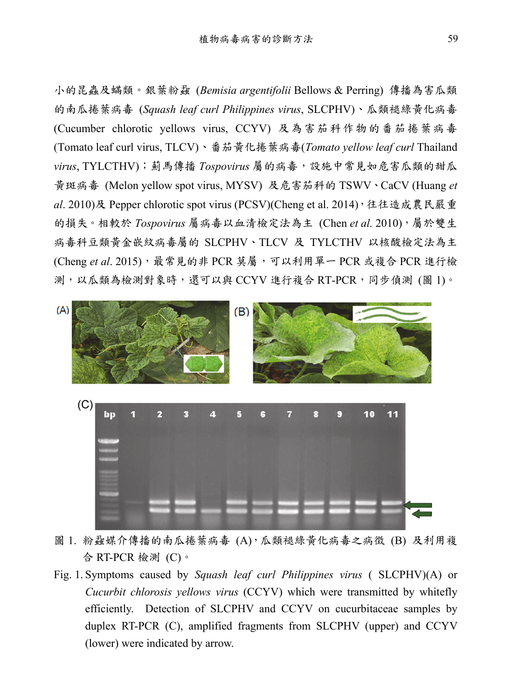小的昆蟲及蟎類。銀葉粉蝨 (*Bemisia argentifolii* Bellows & Perring) 傳播為害瓜類 的南瓜捲葉病毒 (*Squash leaf curl Philippines virus*, SLCPHV)、瓜類褪綠黃化病毒 (Cucumber chlorotic yellows virus, CCYV) 及為害茄科作物的番茄捲葉病毒 (Tomato leaf curl virus, TLCV)、番茄黃化捲葉病毒(*Tomato yellow leaf curl* Thailand *virus*, TYLCTHV);薊馬傳播 *Tospovirus* 屬的病毒,設施中常見如危害瓜類的甜瓜 黃斑病毒 (Melon yellow spot virus, MYSV) 及危害茄科的 TSWV、CaCV (Huang *et al*. 2010)及 Pepper chlorotic spot virus (PCSV)(Cheng et al. 2014),往往造成農民嚴重 的損失。相較於 *Tospovirus* 屬病毒以血清檢定法為主 (Chen *et al.* 2010),屬於雙生 病毒科豆類黃金嵌紋病毒屬的 SLCPHV、TLCV 及 TYLCTHV 以核酸檢定法為主 (Cheng *et al*. 2015),最常見的非 PCR 莫屬,可以利用單一 PCR 或複合 PCR 進行檢 測,以瓜類為檢測對象時,還可以與 CCYV 進行複合 RT-PCR,同步偵測 (圖 1)。



圖 1. 粉蝨媒介傳播的南瓜捲葉病毒 (A),瓜類褪綠黃化病毒之病徵 (B) 及利用複 合 RT-PCR 檢測 (C)。

Fig. 1. Symptoms caused by *Squash leaf curl Philippines virus* ( SLCPHV)(A) or *Cucurbit chlorosis yellows virus* (CCYV) which were transmitted by whitefly efficiently. Detection of SLCPHV and CCYV on cucurbitaceae samples by duplex RT-PCR (C), amplified fragments from SLCPHV (upper) and CCYV (lower) were indicated by arrow.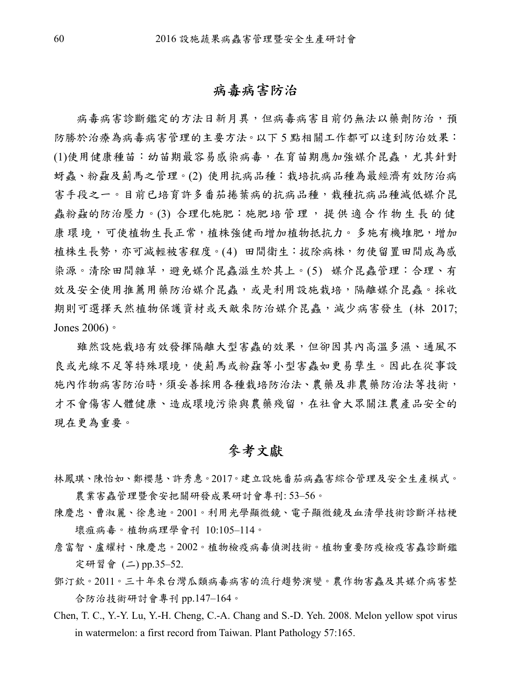#### 病毒病害防治

病毒病害診斷鑑定的方法日新月異,但病毒病害目前仍無法以藥劑防治,預 防勝於治療為病毒病害管理的主要方法。以下 5 點相關工作都可以達到防治效果: (1)使用健康種苗:幼苗期最容易感染病毒,在育苗期應加強媒介昆蟲,尤其針對 蚜蟲、粉蝨及薊馬之管理。(2) 使用抗病品種:栽培抗病品種為最經濟有效防治病 害手段之一。目前已培育許多番茄捲葉病的抗病品種,栽種抗病品種減低媒介昆 蟲粉蝨的防治壓力。(3) 合理化施肥: 施肥培管理,提供適合作物生長的健 康 環 境 ,可使植物生長正常,植株強健而增加植物抵抗力。多施有機堆肥,增加 植株生長勢,亦可減輕被害程度。(4) 田間衛生:拔除病株,勿使留置田間成為感 染源。清除田間雜草,避免媒介昆蟲滋生於其上。(5) 媒介昆蟲管理:合理、有 效及安全使用推薦用藥防治媒介昆蟲,或是利用設施栽培,隔離媒介昆蟲。採收 期則可選擇天然植物保護資材或天敵來防治媒介昆蟲,減少病害發生 (林 2017; Jones 2006)。

雖然設施栽培有效發揮隔離大型害蟲的效果,但卻因其內高溫多濕、通風不 良或光線不足等特殊環境,使薊馬或粉蝨等小型害蟲如更易孳生。因此在從事設 施內作物病害防治時,須妥善採用各種栽培防治法、農藥及非農藥防治法等技術, 才不會傷害人體健康、造成環境污染與農藥殘留,在社會大眾關注農產品安全的 現在更為重要。

#### 參考文獻

- 林鳳琪、陳怡如、鄭櫻慧、許秀惠。2017。建立設施番茄病蟲害綜合管理及安全生產模式。 農業害蟲管理暨食安把關研發成果研討會專刊: 53–56。
- 陳慶忠、曹淑麗、徐惠迪。2001。利用光學顯微鏡、電子顯微鏡及血清學技術診斷洋桔梗 壞疽病毒。植物病理學會刊 10:105–114。
- 詹富智、盧耀村、陳慶忠。2002。植物檢疫病毒偵測技術。植物重要防疫檢疫害蟲診斷鑑 定研習會 (二) pp.35–52.
- 鄧汀欽。2011。三十年來台灣瓜類病毒病害的流行趨勢演變。農作物害蟲及其媒介病害整 合防治技術研討會專刊 pp.147–164。
- Chen, T. C., Y.-Y. Lu, Y.-H. Cheng, C.-A. Chang and S.-D. Yeh. 2008. Melon yellow spot virus in watermelon: a first record from Taiwan. Plant Pathology 57:165.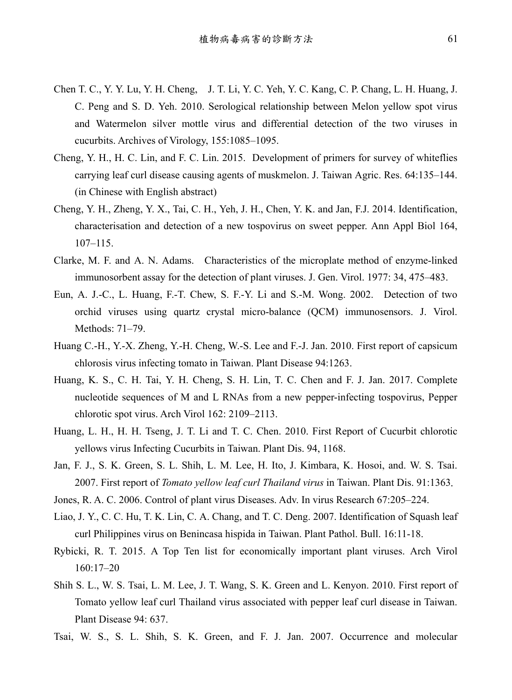- Chen T. C., Y. Y. Lu, Y. H. Cheng, J. T. Li, Y. C. Yeh, Y. C. Kang, C. P. Chang, L. H. Huang, J. C. Peng and S. D. Yeh. 2010. Serological relationship between Melon yellow spot virus and Watermelon silver mottle virus and differential detection of the two viruses in cucurbits. Archives of Virology, 155:1085–1095.
- Cheng, Y. H., H. C. Lin, and F. C. Lin. 2015. Development of primers for survey of whiteflies carrying leaf curl disease causing agents of muskmelon. J. Taiwan Agric. Res. 64:135–144. (in Chinese with English abstract)
- Cheng, Y. H., Zheng, Y. X., Tai, C. H., Yeh, J. H., Chen, Y. K. and Jan, F.J. 2014. Identification, characterisation and detection of a new tospovirus on sweet pepper. Ann Appl Biol 164,  $107 - 115$ .
- Clarke, M. F. and A. N. Adams. Characteristics of the microplate method of enzyme-linked immunosorbent assay for the detection of plant viruses. J. Gen. Virol. 1977: 34, 475–483.
- Eun, A. J.-C., L. Huang, F.-T. Chew, S. F.-Y. Li and S.-M. Wong. 2002. Detection of two orchid viruses using quartz crystal micro-balance (QCM) immunosensors. J. Virol. Methods: 71–79.
- Huang C.-H., Y.-X. Zheng, Y.-H. Cheng, W.-S. Lee and F.-J. Jan. 2010. First report of capsicum chlorosis virus infecting tomato in Taiwan. Plant Disease 94:1263.
- Huang, K. S., C. H. Tai, Y. H. Cheng, S. H. Lin, T. C. Chen and F. J. Jan. 2017. Complete nucleotide sequences of M and L RNAs from a new pepper-infecting tospovirus, Pepper chlorotic spot virus. Arch Virol 162: 2109–2113.
- Huang, L. H., H. H. Tseng, J. T. Li and T. C. Chen. 2010. First Report of Cucurbit chlorotic yellows virus Infecting Cucurbits in Taiwan. Plant Dis. 94, 1168.
- Jan, F. J., S. K. Green, S. L. Shih, L. M. Lee, H. Ito, J. Kimbara, K. Hosoi, and. W. S. Tsai. 2007. First report of *Tomato yellow leaf curl Thailand virus* in Taiwan. Plant Dis. 91:1363.
- Jones, R. A. C. 2006. Control of plant virus Diseases. Adv. In virus Research 67:205–224.
- Liao, J. Y., C. C. Hu, T. K. Lin, C. A. Chang, and T. C. Deng. 2007. Identification of Squash leaf curl Philippines virus on Benincasa hispida in Taiwan. Plant Pathol. Bull. 16:11-18.
- Rybicki, R. T. 2015. A Top Ten list for economically important plant viruses. Arch Virol 160:17–20
- Shih S. L., W. S. Tsai, L. M. Lee, J. T. Wang, S. K. Green and L. Kenyon. 2010. First report of Tomato yellow leaf curl Thailand virus associated with pepper leaf curl disease in Taiwan. Plant Disease 94: 637.
- Tsai, W. S., S. L. Shih, S. K. Green, and F. J. Jan. 2007. Occurrence and molecular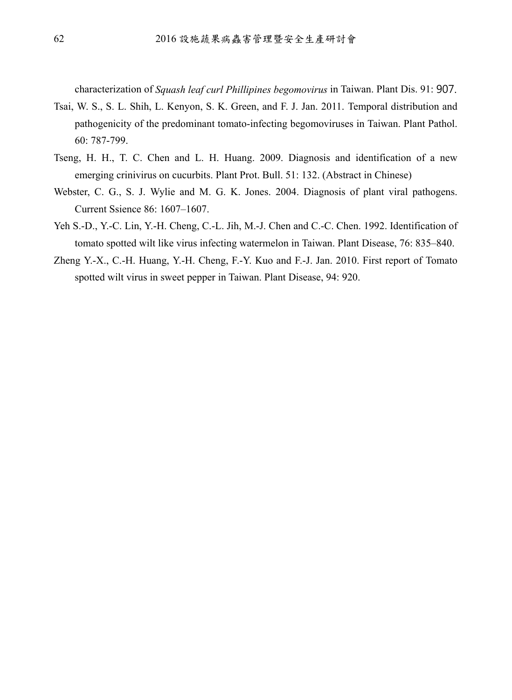characterization of *Squash leaf curl Phillipines begomovirus* in Taiwan. Plant Dis. 91: 907.

- Tsai, W. S., S. L. Shih, L. Kenyon, S. K. Green, and F. J. Jan. 2011. Temporal distribution and pathogenicity of the predominant tomato-infecting begomoviruses in Taiwan. Plant Pathol. 60: 787-799.
- Tseng, H. H., T. C. Chen and L. H. Huang. 2009. Diagnosis and identification of a new emerging crinivirus on cucurbits. Plant Prot. Bull. 51: 132. (Abstract in Chinese)
- Webster, C. G., S. J. Wylie and M. G. K. Jones. 2004. Diagnosis of plant viral pathogens. Current Ssience 86: 1607–1607.
- Yeh S.-D., Y.-C. Lin, Y.-H. Cheng, C.-L. Jih, M.-J. Chen and C.-C. Chen. 1992. Identification of tomato spotted wilt like virus infecting watermelon in Taiwan. Plant Disease, 76: 835–840.
- Zheng Y.-X., C.-H. Huang, Y.-H. Cheng, F.-Y. Kuo and F.-J. Jan. 2010. First report of Tomato spotted wilt virus in sweet pepper in Taiwan. Plant Disease, 94: 920.